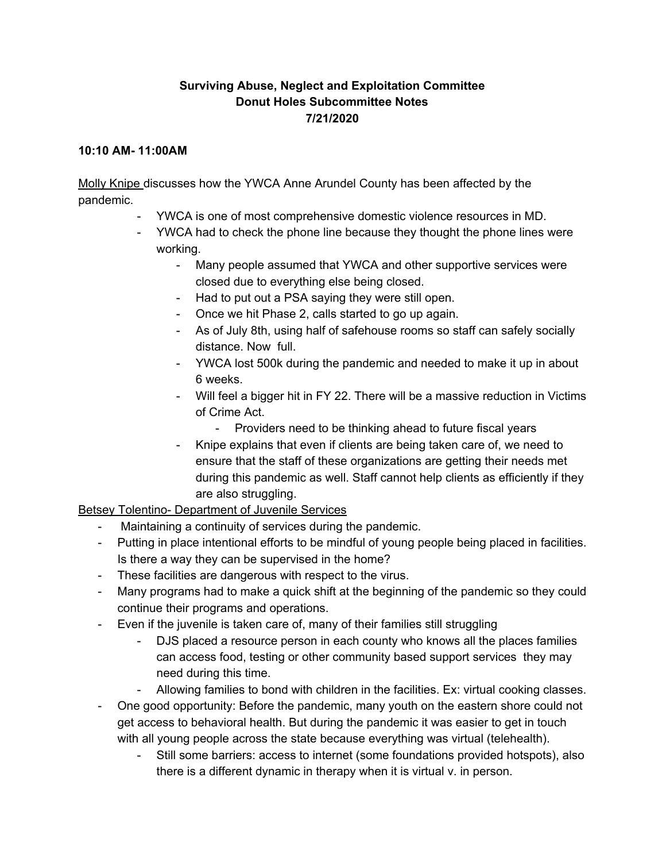### **Surviving Abuse, Neglect and Exploitation Committee Donut Holes Subcommittee Notes 7/21/2020**

#### **10:10 AM- 11:00AM**

Molly Knipe discusses how the YWCA Anne Arundel County has been affected by the pandemic.

- YWCA is one of most comprehensive domestic violence resources in MD.
- YWCA had to check the phone line because they thought the phone lines were working.
	- Many people assumed that YWCA and other supportive services were closed due to everything else being closed.
	- Had to put out a PSA saying they were still open.
	- Once we hit Phase 2, calls started to go up again.
	- As of July 8th, using half of safehouse rooms so staff can safely socially distance. Now full.
	- YWCA lost 500k during the pandemic and needed to make it up in about 6 weeks.
	- Will feel a bigger hit in FY 22. There will be a massive reduction in Victims of Crime Act.
		- Providers need to be thinking ahead to future fiscal years
	- Knipe explains that even if clients are being taken care of, we need to ensure that the staff of these organizations are getting their needs met during this pandemic as well. Staff cannot help clients as efficiently if they are also struggling.

Betsey Tolentino- Department of Juvenile Services

- Maintaining a continuity of services during the pandemic.
- Putting in place intentional efforts to be mindful of young people being placed in facilities. Is there a way they can be supervised in the home?
- These facilities are dangerous with respect to the virus.
- Many programs had to make a quick shift at the beginning of the pandemic so they could continue their programs and operations.
- Even if the juvenile is taken care of, many of their families still struggling
	- DJS placed a resource person in each county who knows all the places families can access food, testing or other community based support services they may need during this time.
	- Allowing families to bond with children in the facilities. Ex: virtual cooking classes.
- One good opportunity: Before the pandemic, many youth on the eastern shore could not get access to behavioral health. But during the pandemic it was easier to get in touch with all young people across the state because everything was virtual (telehealth).
	- Still some barriers: access to internet (some foundations provided hotspots), also there is a different dynamic in therapy when it is virtual v. in person.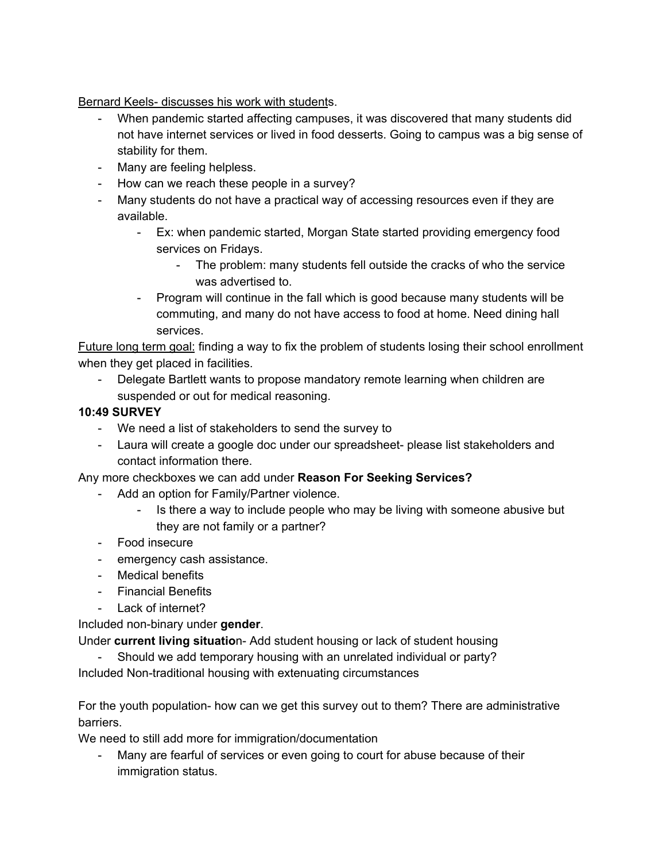Bernard Keels- discusses his work with students.

- When pandemic started affecting campuses, it was discovered that many students did not have internet services or lived in food desserts. Going to campus was a big sense of stability for them.
- Many are feeling helpless.
- How can we reach these people in a survey?
- Many students do not have a practical way of accessing resources even if they are available.
	- Ex: when pandemic started, Morgan State started providing emergency food services on Fridays.
		- The problem: many students fell outside the cracks of who the service was advertised to.
	- Program will continue in the fall which is good because many students will be commuting, and many do not have access to food at home. Need dining hall services.

Future long term goal: finding a way to fix the problem of students losing their school enrollment when they get placed in facilities.

- Delegate Bartlett wants to propose mandatory remote learning when children are suspended or out for medical reasoning.

# **10:49 SURVEY**

- We need a list of stakeholders to send the survey to
- Laura will create a google doc under our spreadsheet- please list stakeholders and contact information there.

# Any more checkboxes we can add under **Reason For Seeking Services?**

- Add an option for Family/Partner violence.
	- Is there a way to include people who may be living with someone abusive but they are not family or a partner?
- Food insecure
- emergency cash assistance.
- Medical benefits
- Financial Benefits
- Lack of internet?

#### Included non-binary under **gender**.

Under **current living situatio**n- Add student housing or lack of student housing

- Should we add temporary housing with an unrelated individual or party? Included Non-traditional housing with extenuating circumstances

For the youth population- how can we get this survey out to them? There are administrative barriers.

We need to still add more for immigration/documentation

- Many are fearful of services or even going to court for abuse because of their immigration status.